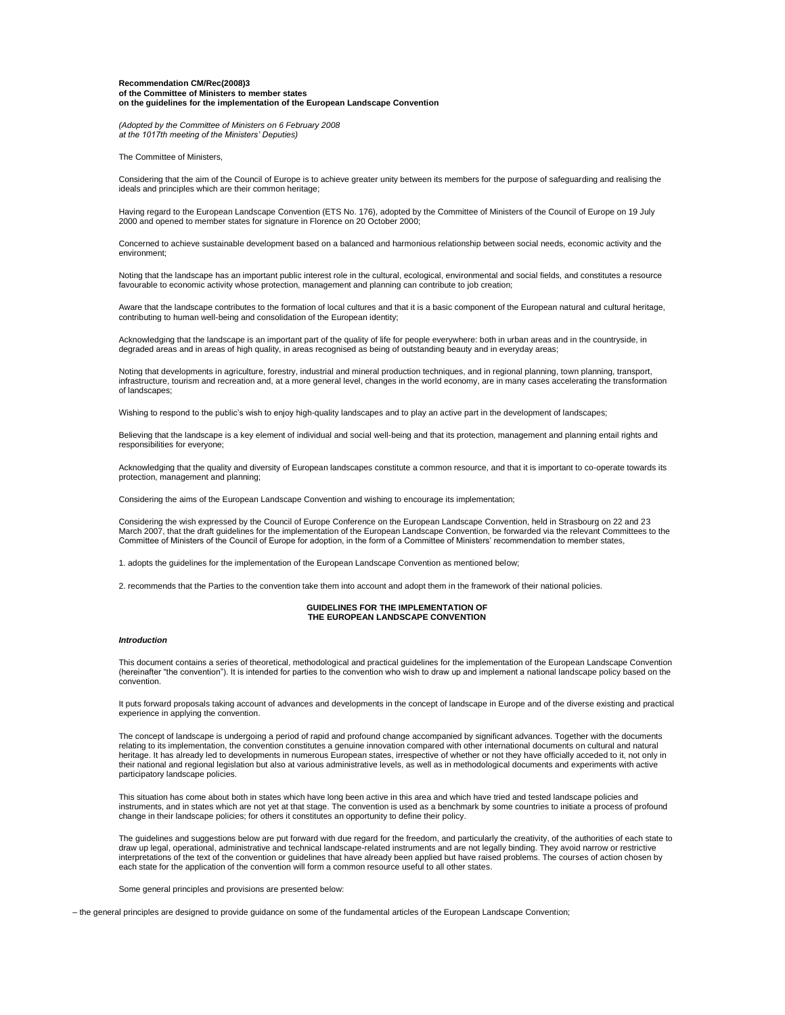#### **Recommendation CM/Rec(2008)3 of the Committee of Ministers to member states on the guidelines for the implementation of the European Landscape Convention**

*(Adopted by the Committee of Ministers on 6 February 2008 at the 1017th meeting of the Ministers' Deputies)*

The Committee of Ministers,

Considering that the aim of the Council of Europe is to achieve greater unity between its members for the purpose of safeguarding and realising the ideals and principles which are their common heritage;

Having regard to the European Landscape Convention (ETS No. 176), adopted by the Committee of Ministers of the Council of Europe on 19 July 2000 and opened to member states for signature in Florence on 20 October 2000;

Concerned to achieve sustainable development based on a balanced and harmonious relationship between social needs, economic activity and the environment;

Noting that the landscape has an important public interest role in the cultural, ecological, environmental and social fields, and constitutes a resource favourable to economic activity whose protection, management and planning can contribute to job creation;

Aware that the landscape contributes to the formation of local cultures and that it is a basic component of the European natural and cultural heritage, contributing to human well-being and consolidation of the European identity;

Acknowledging that the landscape is an important part of the quality of life for people everywhere: both in urban areas and in the countryside, in degraded areas and in areas of high quality, in areas recognised as being of outstanding beauty and in everyday areas;

Noting that developments in agriculture, forestry, industrial and mineral production techniques, and in regional planning, town planning, transport, infrastructure, tourism and recreation and, at a more general level, changes in the world economy, are in many cases accelerating the transformation of landscapes;

Wishing to respond to the public's wish to enjoy high-quality landscapes and to play an active part in the development of landscapes;

Believing that the landscape is a key element of individual and social well-being and that its protection, management and planning entail rights and responsibilities for everyone;

Acknowledging that the quality and diversity of European landscapes constitute a common resource, and that it is important to co-operate towards its protection, management and planning;

Considering the aims of the European Landscape Convention and wishing to encourage its implementation;

Considering the wish expressed by the Council of Europe Conference on the European Landscape Convention, held in Strasbourg on 22 and 23 March 2007, that the draft guidelines for the implementation of the European Landscape Convention, be forwarded via the relevant Committees to the Committee of Ministers of the Council of Europe for adoption, in the form of a Committee of Ministers' recommendation to member states,

1. adopts the guidelines for the implementation of the European Landscape Convention as mentioned below;

2. recommends that the Parties to the convention take them into account and adopt them in the framework of their national policies.

### **GUIDELINES FOR THE IMPLEMENTATION OF THE EUROPEAN LANDSCAPE CONVENTION**

## *Introduction*

This document contains a series of theoretical, methodological and practical guidelines for the implementation of the European Landscape Convention (hereinafter "the convention"). It is intended for parties to the convention who wish to draw up and implement a national landscape policy based on the convention.

It puts forward proposals taking account of advances and developments in the concept of landscape in Europe and of the diverse existing and practical experience in applying the convention.

The concept of landscape is undergoing a period of rapid and profound change accompanied by significant advances. Together with the documents relating to its implementation, the convention constitutes a genuine innovation compared with other international documents on cultural and natural heritage. It has already led to developments in numerous European states, irrespective of whether or not they have officially acceded to it, not only in their national and regional legislation but also at various administrative levels, as well as in methodological documents and experiments with active participatory landscape policies.

This situation has come about both in states which have long been active in this area and which have tried and tested landscape policies and instruments, and in states which are not yet at that stage. The convention is used as a benchmark by some countries to initiate a process of profound change in their landscape policies; for others it constitutes an opportunity to define their policy.

The guidelines and suggestions below are put forward with due regard for the freedom, and particularly the creativity, of the authorities of each state to draw up legal, operational, administrative and technical landscape-related instruments and are not legally binding. They avoid narrow or restrictive<br>interpretations of the text of the convention or guidelines that have alr each state for the application of the convention will form a common resource useful to all other states.

Some general principles and provisions are presented below:

– the general principles are designed to provide guidance on some of the fundamental articles of the European Landscape Convention;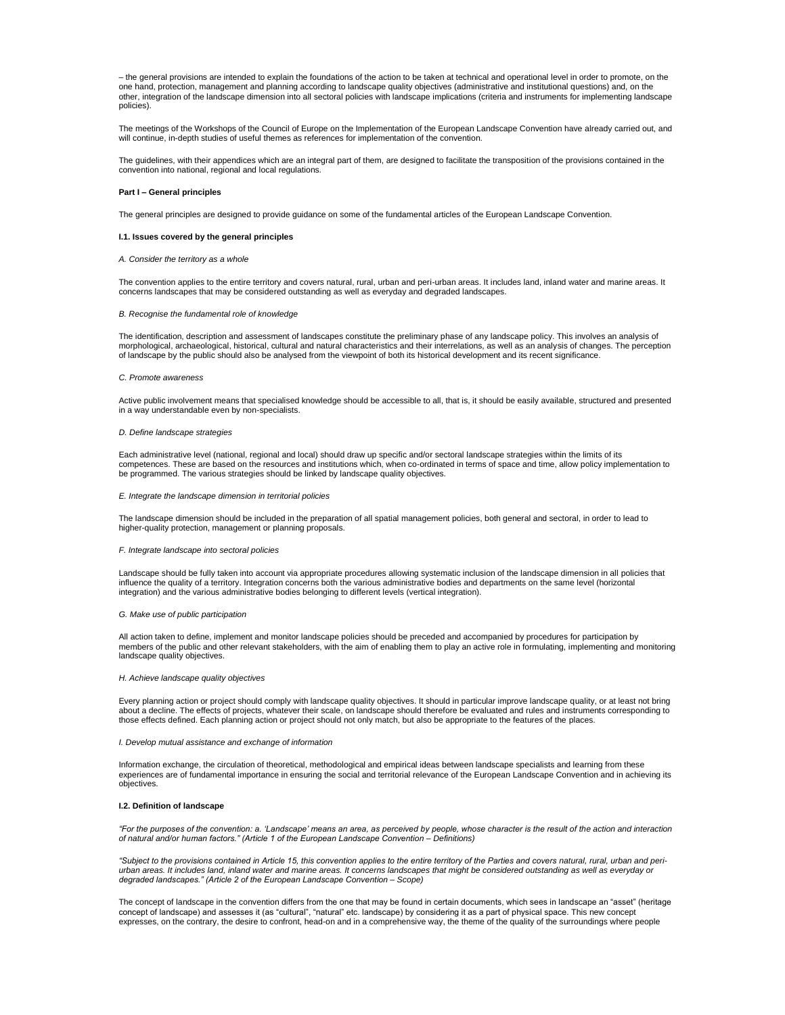– the general provisions are intended to explain the foundations of the action to be taken at technical and operational level in order to promote, on the one hand, protection, management and planning according to landscape quality objectives (administrative and institutional questions) and, on the other, integration of the landscape dimension into all sectoral policies with landscape implications (criteria and instruments for implementing landscape policies).

The meetings of the Workshops of the Council of Europe on the Implementation of the European Landscape Convention have already carried out, and will continue, in-depth studies of useful themes as references for implementation of the convention.

The guidelines, with their appendices which are an integral part of them, are designed to facilitate the transposition of the provisions contained in the convention into national, regional and local regulations.

### **Part I – General principles**

The general principles are designed to provide guidance on some of the fundamental articles of the European Landscape Convention.

### **I.1. Issues covered by the general principles**

### *A. Consider the territory as a whole*

The convention applies to the entire territory and covers natural, rural, urban and peri-urban areas. It includes land, inland water and marine areas. It<br>concerns landscapes that may be considered outstanding as well as ev

### *B. Recognise the fundamental role of knowledge*

The identification, description and assessment of landscapes constitute the preliminary phase of any landscape policy. This involves an analysis of morphological, archaeological, historical, cultural and natural characteristics and their interrelations, as well as an analysis of changes. The perception of landscape by the public should also be analysed from the viewpoint of both its historical development and its recent significance.

#### *C. Promote awareness*

Active public involvement means that specialised knowledge should be accessible to all, that is, it should be easily available, structured and presented in a way understandable even by non-specialists.

#### *D. Define landscape strategies*

Each administrative level (national, regional and local) should draw up specific and/or sectoral landscape strategies within the limits of its competences. These are based on the resources and institutions which, when co-ordinated in terms of space and time, allow policy implementation to be programmed. The various strategies should be linked by landscape quality objectives.

#### *E. Integrate the landscape dimension in territorial policies*

The landscape dimension should be included in the preparation of all spatial management policies, both general and sectoral, in order to lead to higher-quality protection, management or planning proposals.

### *F. Integrate landscape into sectoral policies*

Landscape should be fully taken into account via appropriate procedures allowing systematic inclusion of the landscape dimension in all policies that influence the quality of a territory. Integration concerns both the various administrative bodies and departments on the same level (horizontal integration) and the various administrative bodies belonging to different levels (vertical integration).

#### *G. Make use of public participation*

All action taken to define, implement and monitor landscape policies should be preceded and accompanied by procedures for participation by members of the public and other relevant stakeholders, with the aim of enabling them to play an active role in formulating, implementing and monitoring landscape quality objectives.

#### *H. Achieve landscape quality objectives*

Every planning action or project should comply with landscape quality objectives. It should in particular improve landscape quality, or at least not bring about a decline. The effects of projects, whatever their scale, on landscape should therefore be evaluated and rules and instruments corresponding to those effects defined. Each planning action or project should not only match, but also be appropriate to the features of the places.

### *I. Develop mutual assistance and exchange of information*

Information exchange, the circulation of theoretical, methodological and empirical ideas between landscape specialists and learning from these experiences are of fundamental importance in ensuring the social and territorial relevance of the European Landscape Convention and in achieving its objectives.

### **I.2. Definition of landscape**

*"For the purposes of the convention: a. 'Landscape' means an area, as perceived by people, whose character is the result of the action and interaction of natural and/or human factors." (Article 1 of the European Landscape Convention – Definitions)*

*"Subject to the provisions contained in Article 15, this convention applies to the entire territory of the Parties and covers natural, rural, urban and periurban areas. It includes land, inland water and marine areas. It concerns landscapes that might be considered outstanding as well as everyday or degraded landscapes." (Article 2 of the European Landscape Convention – Scope)*

The concept of landscape in the convention differs from the one that may be found in certain documents, which sees in landscape an "asset" (heritage concept of landscape) and assesses it (as "cultural", "natural" etc. landscape) by considering it as a part of physical space. This new concept expresses, on the contrary, the desire to confront, head-on and in a comprehensive way, the theme of the quality of the surroundings where people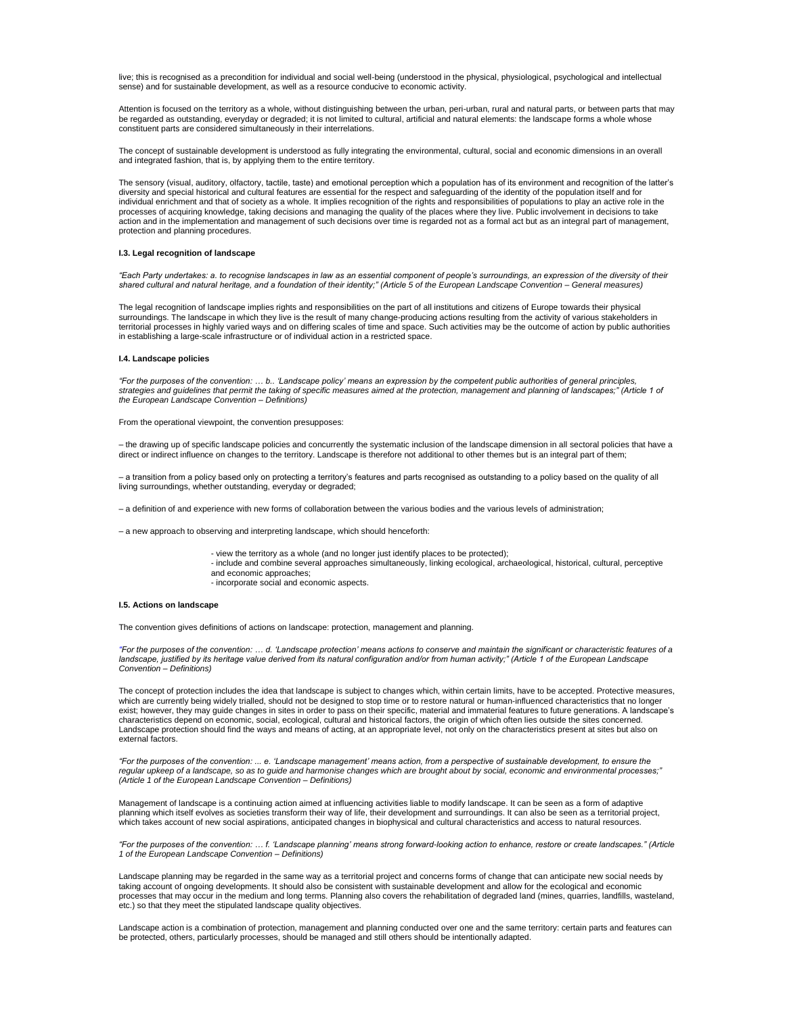live; this is recognised as a precondition for individual and social well-being (understood in the physical, physiological, psychological and intellectual sense) and for sustainable development, as well as a resource conducive to economic activity.

Attention is focused on the territory as a whole, without distinguishing between the urban, peri-urban, rural and natural parts, or between parts that may be regarded as outstanding, everyday or degraded; it is not limited to cultural, artificial and natural elements: the landscape forms a whole whose constituent parts are considered simultaneously in their interrelations.

The concept of sustainable development is understood as fully integrating the environmental, cultural, social and economic dimensions in an overall and integrated fashion, that is, by applying them to the entire territory.

The sensory (visual, auditory, olfactory, tactile, taste) and emotional perception which a population has of its environment and recognition of the latter's diversity and special historical and cultural features are essential for the respect and safeguarding of the identity of the population itself and for individual enrichment and that of society as a whole. It implies recognition of the rights and responsibilities of populations to play an active role in the processes of acquiring knowledge, taking decisions and managing the quality of the places where they live. Public involvement in decisions to take action and in the implementation and management of such decisions over time is regarded not as a formal act but as an integral part of management, protection and planning procedures.

### **I.3. Legal recognition of landscape**

"Each Party undertakes: a. to recognise landscapes in law as an essential component of people's surroundings, an expression of the diversity of their<br>shared cultural and natural heritage, and a foundation of their identity

The legal recognition of landscape implies rights and responsibilities on the part of all institutions and citizens of Europe towards their physical surroundings. The landscape in which they live is the result of many change-producing actions resulting from the activity of various stakeholders in territorial processes in highly varied ways and on differing scales of time and space. Such activities may be the outcome of action by public authorities in establishing a large-scale infrastructure or of individual action in a restricted space.

### **I.4. Landscape policies**

"For the purposes of the convention: … b.. 'Landscape policy' means an expression by the competent public authorities of general principles,<br>strategies and guidelines that permit the taking of specific measures aimed at th

From the operational viewpoint, the convention presupposes:

– the drawing up of specific landscape policies and concurrently the systematic inclusion of the landscape dimension in all sectoral policies that have a direct or indirect influence on changes to the territory. Landscape is therefore not additional to other themes but is an integral part of them;

– a transition from a policy based only on protecting a territory's features and parts recognised as outstanding to a policy based on the quality of all living surroundings, whether outstanding, everyday or degraded;

– a definition of and experience with new forms of collaboration between the various bodies and the various levels of administration;

– a new approach to observing and interpreting landscape, which should henceforth:

- view the territory as a whole (and no longer just identify places to be protected);
- include and combine several approaches simultaneously, linking ecological, archaeological, historical, cultural, perceptive and economic approaches;
	- incorporate social and economic aspects.

### **I.5. Actions on landscape**

The convention gives definitions of actions on landscape: protection, management and planning.

*"For the purposes of the convention: … d. 'Landscape protection' means actions to conserve and maintain the significant or characteristic features of a*  landscape, justified by its heritage value derived from its natural configuration and/or from human activity;" (Article 1 of the European Landscape *Convention – Definitions)*

The concept of protection includes the idea that landscape is subject to changes which, within certain limits, have to be accepted. Protective measures, which are currently being widely trialled, should not be designed to stop time or to restore natural or human-influenced characteristics that no longer exist; however, they may guide changes in sites in order to pass on their specific, material and immaterial features to future generations. A landscape's characteristics depend on economic, social, ecological, cultural and historical factors, the origin of which often lies outside the sites concerned. Landscape protection should find the ways and means of acting, at an appropriate level, not only on the characteristics present at sites but also on external factors.

*"For the purposes of the convention: ... e. 'Landscape management' means action, from a perspective of sustainable development, to ensure the regular upkeep of a landscape, so as to guide and harmonise changes which are brought about by social, economic and environmental processes;" (Article 1 of the European Landscape Convention – Definitions)*

Management of landscape is a continuing action aimed at influencing activities liable to modify landscape. It can be seen as a form of adaptive planning which itself evolves as societies transform their way of life, their development and surroundings. It can also be seen as a territorial project, which takes account of new social aspirations, anticipated changes in biophysical and cultural characteristics and access to natural resources.

*"For the purposes of the convention: … f. 'Landscape planning' means strong forward-looking action to enhance, restore or create landscapes." (Article 1 of the European Landscape Convention – Definitions)*

Landscape planning may be regarded in the same way as a territorial project and concerns forms of change that can anticipate new social needs by taking account of ongoing developments. It should also be consistent with sustainable development and allow for the ecological and economic processes that may occur in the medium and long terms. Planning also covers the rehabilitation of degraded land (mines, quarries, landfills, wasteland, etc.) so that they meet the stipulated landscape quality objectives.

Landscape action is a combination of protection, management and planning conducted over one and the same territory: certain parts and features can be protected, others, particularly processes, should be managed and still others should be intentionally adapted.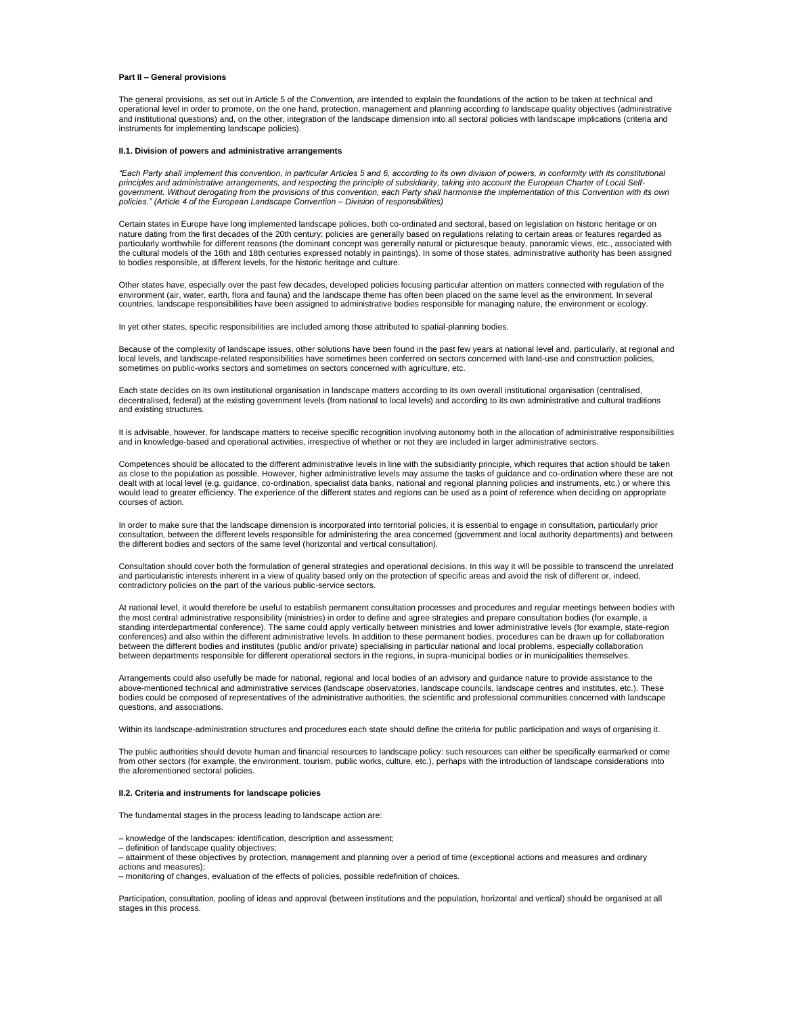### **Part II – General provisions**

The general provisions, as set out in Article 5 of the Convention, are intended to explain the foundations of the action to be taken at technical and operational level in order to promote, on the one hand, protection, management and planning according to landscape quality objectives (administrative and institutional questions) and, on the other, integration of the landscape dimension into all sectoral policies with landscape implications (criteria and instruments for implementing landscape policies).

#### **II.1. Division of powers and administrative arrangements**

*"Each Party shall implement this convention, in particular Articles 5 and 6, according to its own division of powers, in conformity with its constitutional principles and administrative arrangements, and respecting the principle of subsidiarity, taking into account the European Charter of Local Selfgovernment. Without derogating from the provisions of this convention, each Party shall harmonise the implementation of this Convention with its own policies." (Article 4 of the European Landscape Convention – Division of responsibilities)*

Certain states in Europe have long implemented landscape policies, both co-ordinated and sectoral, based on legislation on historic heritage or on<br>nature dating from the first decades of the 20th century; policies are gene particularly worthwhile for different reasons (the dominant concept was generally natural or picturesque beauty, panoramic views, etc., associated with the cultural models of the 16th and 18th centuries expressed notably in paintings). In some of those states, administrative authority has been assigned to bodies responsible, at different levels, for the historic heritage and culture.

Other states have, especially over the past few decades, developed policies focusing particular attention on matters connected with regulation of the environment (air, water, earth, flora and fauna) and the landscape theme has often been placed on the same level as the environment. In several countries, landscape responsibilities have been assigned to administrative bodies responsible for managing nature, the environment or ecology.

In yet other states, specific responsibilities are included among those attributed to spatial-planning bodies.

Because of the complexity of landscape issues, other solutions have been found in the past few years at national level and, particularly, at regional and local levels, and landscape-related responsibilities have sometimes been conferred on sectors concerned with land-use and construction policies, sometimes on public-works sectors and sometimes on sectors concerned with agriculture, etc.

Each state decides on its own institutional organisation in landscape matters according to its own overall institutional organisation (centralised, decentralised, federal) at the existing government levels (from national to local levels) and according to its own administrative and cultural traditions and existing structures.

It is advisable, however, for landscape matters to receive specific recognition involving autonomy both in the allocation of administrative responsibilities and in knowledge-based and operational activities, irrespective of whether or not they are included in larger administrative sectors.

Competences should be allocated to the different administrative levels in line with the subsidiarity principle, which requires that action should be taken as close to the population as possible. However, higher administrative levels may assume the tasks of guidance and co-ordination where these are not dealt with at local level (e.g. guidance, co-ordination, specialist data banks, national and regional planning policies and instruments, etc.) or where this would lead to greater efficiency. The experience of the different states and regions can be used as a point of reference when deciding on appropriate courses of action.

In order to make sure that the landscape dimension is incorporated into territorial policies, it is essential to engage in consultation, particularly prior consultation, between the different levels responsible for administering the area concerned (government and local authority departments) and between the different bodies and sectors of the same level (horizontal and vertical consultation).

Consultation should cover both the formulation of general strategies and operational decisions. In this way it will be possible to transcend the unrelated and particularistic interests inherent in a view of quality based only on the protection of specific areas and avoid the risk of different or, indeed, contradictory policies on the part of the various public-service sectors.

At national level, it would therefore be useful to establish permanent consultation processes and procedures and regular meetings between bodies with the most central administrative responsibility (ministries) in order to define and agree strategies and prepare consultation bodies (for example, a standing interdepartmental conference). The same could apply vertically between ministries and lower administrative levels (for example, state-region conferences) and also within the different administrative levels. In addition to these permanent bodies, procedures can be drawn up for collaboration between the different bodies and institutes (public and/or private) specialising in particular national and local problems, especially collaboration between departments responsible for different operational sectors in the regions, in supra-municipal bodies or in municipalities themselves.

Arrangements could also usefully be made for national, regional and local bodies of an advisory and guidance nature to provide assistance to the above-mentioned technical and administrative services (landscape observatories, landscape councils, landscape centres and institutes, etc.). These bodies could be composed of representatives of the administrative authorities, the scientific and professional communities concerned with landscape questions, and associations.

Within its landscape-administration structures and procedures each state should define the criteria for public participation and ways of organising it.

The public authorities should devote human and financial resources to landscape policy: such resources can either be specifically earmarked or come from other sectors (for example, the environment, tourism, public works, culture, etc.), perhaps with the introduction of landscape considerations into the aforementioned sectoral policies.

### **II.2. Criteria and instruments for landscape policies**

The fundamental stages in the process leading to landscape action are:

– knowledge of the landscapes: identification, description and assessment;

- 
- definition of landscape quality objectives; attainment of these objectives by protection, management and planning over a period of time (exceptional actions and measures and ordinary actions and measures);
- monitoring of changes, evaluation of the effects of policies, possible redefinition of choices.

Participation, consultation, pooling of ideas and approval (between institutions and the population, horizontal and vertical) should be organised at all stages in this process.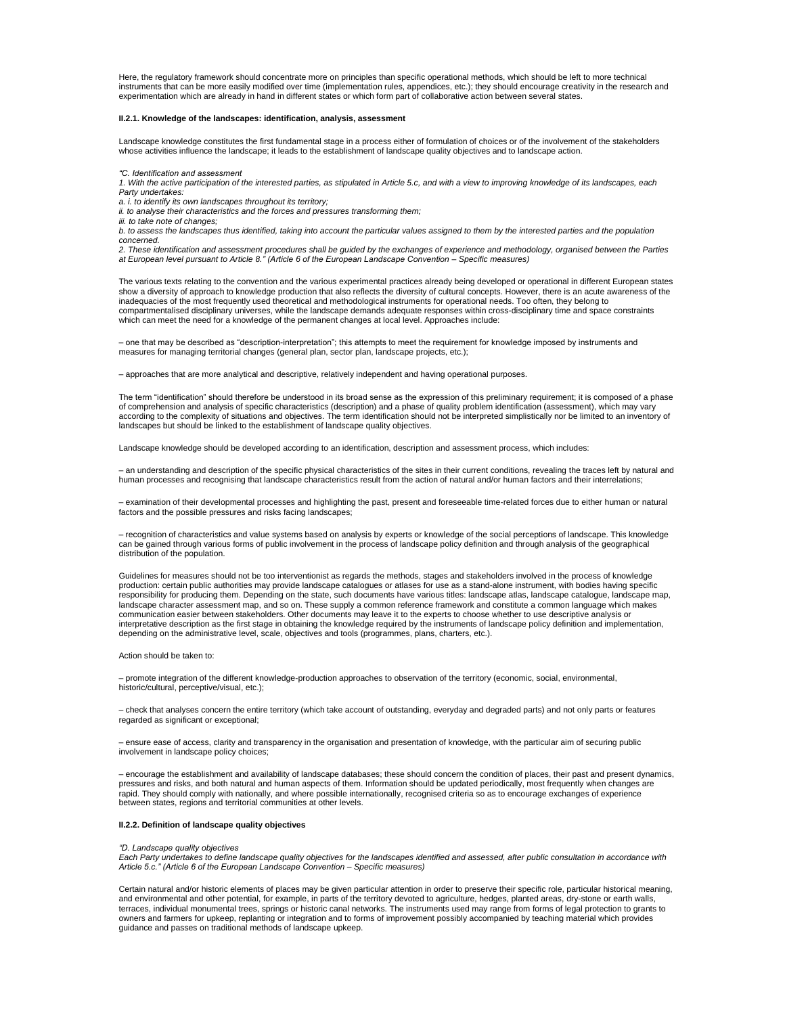Here, the regulatory framework should concentrate more on principles than specific operational methods, which should be left to more technical instruments that can be more easily modified over time (implementation rules, appendices, etc.); they should encourage creativity in the research and<br>experimentation which are already in hand in different states or which f

## **II.2.1. Knowledge of the landscapes: identification, analysis, assessment**

Landscape knowledge constitutes the first fundamental stage in a process either of formulation of choices or of the involvement of the stakeholders whose activities influence the landscape; it leads to the establishment of landscape quality objectives and to landscape action.

*"C. Identification and assessment*

*1. With the active participation of the interested parties, as stipulated in Article 5.c, and with a view to improving knowledge of its landscapes, each Party undertakes:*

*a. i. to identify its own landscapes throughout its territory;*

*ii. to analyse their characteristics and the forces and pressures transforming them;*

*iii. to take note of changes;*

*b. to assess the landscapes thus identified, taking into account the particular values assigned to them by the interested parties and the population concerned.*

*2. These identification and assessment procedures shall be guided by the exchanges of experience and methodology, organised between the Parties at European level pursuant to Article 8." (Article 6 of the European Landscape Convention – Specific measures)*

The various texts relating to the convention and the various experimental practices already being developed or operational in different European states show a diversity of approach to knowledge production that also reflects the diversity of cultural concepts. However, there is an acute awareness of the inadequacies of the most frequently used theoretical and methodological instruments for operational needs. Too often, they belong to compartmentalised disciplinary universes, while the landscape demands adequate responses within cross-disciplinary time and space constraints which can meet the need for a knowledge of the permanent changes at local level. Approaches include:

– one that may be described as "description-interpretation"; this attempts to meet the requirement for knowledge imposed by instruments and<br>measures for managing territorial changes (general plan, sector plan, landscape pr

– approaches that are more analytical and descriptive, relatively independent and having operational purposes.

The term "identification" should therefore be understood in its broad sense as the expression of this preliminary requirement; it is composed of a phase of comprehension and analysis of specific characteristics (description) and a phase of quality problem identification (assessment), which may vary according to the complexity of situations and objectives. The term identification should not be interpreted simplistically nor be limited to an inventory of landscapes but should be linked to the establishment of landscape quality objectives.

Landscape knowledge should be developed according to an identification, description and assessment process, which includes:

– an understanding and description of the specific physical characteristics of the sites in their current conditions, revealing the traces left by natural and human processes and recognising that landscape characteristics result from the action of natural and/or human factors and their interrelations;

– examination of their developmental processes and highlighting the past, present and foreseeable time-related forces due to either human or natural factors and the possible pressures and risks facing landscapes;

– recognition of characteristics and value systems based on analysis by experts or knowledge of the social perceptions of landscape. This knowledge can be gained through various forms of public involvement in the process of landscape policy definition and through analysis of the geographical distribution of the population.

Guidelines for measures should not be too interventionist as regards the methods, stages and stakeholders involved in the process of knowledge production: certain public authorities may provide landscape catalogues or atlases for use as a stand-alone instrument, with bodies having specific responsibility for producing them. Depending on the state, such documents have various titles: landscape atlas, landscape catalogue, landscape map, landscape character assessment map, and so on. These supply a common reference framework and constitute a common language which makes communication easier between stakeholders. Other documents may leave it to the experts to choose whether to use descriptive analysis or interpretative description as the first stage in obtaining the knowledge required by the instruments of landscape policy definition and implementation, depending on the administrative level, scale, objectives and tools (programmes, plans, charters, etc.).

### Action should be taken to:

– promote integration of the different knowledge-production approaches to observation of the territory (economic, social, environmental, historic/cultural, perceptive/visual, etc.);

– check that analyses concern the entire territory (which take account of outstanding, everyday and degraded parts) and not only parts or features regarded as significant or exceptional;

– ensure ease of access, clarity and transparency in the organisation and presentation of knowledge, with the particular aim of securing public involvement in landscape policy choices;

– encourage the establishment and availability of landscape databases; these should concern the condition of places, their past and present dynamics, pressures and risks, and both natural and human aspects of them. Information should be updated periodically, most frequently when changes are rapid. They should comply with nationally, and where possible internationally, recognised criteria so as to encourage exchanges of experience between states, regions and territorial communities at other levels.

### **II.2.2. Definition of landscape quality objectives**

#### *"D. Landscape quality objectives*

*Each Party undertakes to define landscape quality objectives for the landscapes identified and assessed, after public consultation in accordance with Article 5.c." (Article 6 of the European Landscape Convention – Specific measures)*

Certain natural and/or historic elements of places may be given particular attention in order to preserve their specific role, particular historical meaning, and environmental and other potential, for example, in parts of the territory devoted to agriculture, hedges, planted areas, dry-stone or earth walls, terraces, individual monumental trees, springs or historic canal networks. The instruments used may range from forms of legal protection to grants to owners and farmers for upkeep, replanting or integration and to forms of improvement possibly accompanied by teaching material which provides guidance and passes on traditional methods of landscape upkeep.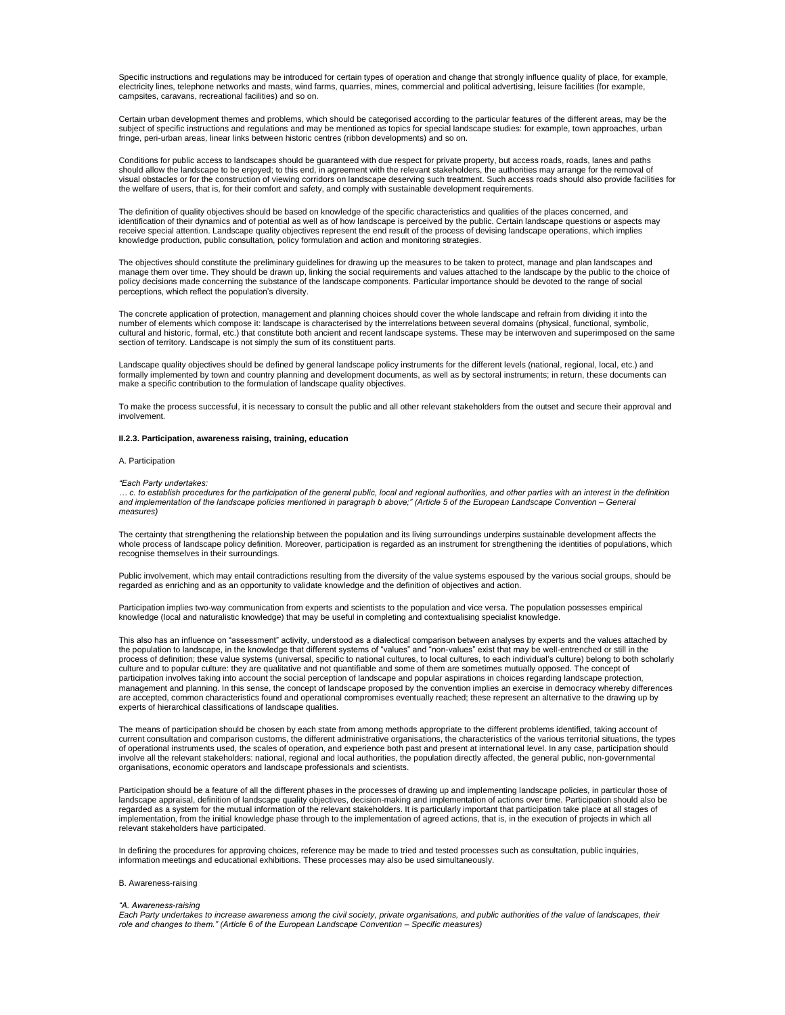Specific instructions and regulations may be introduced for certain types of operation and change that strongly influence quality of place, for example, electricity lines, telephone networks and masts, wind farms, quarries, mines, commercial and political advertising, leisure facilities (for example, campsites, caravans, recreational facilities) and so on.

Certain urban development themes and problems, which should be categorised according to the particular features of the different areas, may be the subject of specific instructions and regulations and may be mentioned as topics for special landscape studies: for example, town approaches, urban fringe, peri-urban areas, linear links between historic centres (ribbon developments) and so on.

Conditions for public access to landscapes should be guaranteed with due respect for private property, but access roads, roads, lanes and paths should allow the landscape to be enjoyed; to this end, in agreement with the relevant stakeholders, the authorities may arrange for the removal of visual obstacles or for the construction of viewing corridors on landscape deserving such treatment. Such access roads should also provide facilities for the welfare of users, that is, for their comfort and safety, and comply with sustainable development requirements.

The definition of quality objectives should be based on knowledge of the specific characteristics and qualities of the places concerned, and identification of their dynamics and of potential as well as of how landscape is perceived by the public. Certain landscape questions or aspects may receive special attention. Landscape quality objectives represent the end result of the process of devising landscape operations, which implies knowledge production, public consultation, policy formulation and action and monitoring strategies.

The objectives should constitute the preliminary guidelines for drawing up the measures to be taken to protect, manage and plan landscapes and manage them over time. They should be drawn up, linking the social requirements and values attached to the landscape by the public to the choice of policy decisions made concerning the substance of the landscape components. Particular importance should be devoted to the range of social perceptions, which reflect the population's diversity.

The concrete application of protection, management and planning choices should cover the whole landscape and refrain from dividing it into the number of elements which compose it: landscape is characterised by the interrelations between several domains (physical, functional, symbolic, cultural and historic, formal, etc.) that constitute both ancient and recent landscape systems. These may be interwoven and superimposed on the same<br>section of territory. Landscape is not simply the sum of its constituent

Landscape quality objectives should be defined by general landscape policy instruments for the different levels (national, regional, local, etc.) and formally implemented by town and country planning and development documents, as well as by sectoral instruments; in return, these documents can make a specific contribution to the formulation of landscape quality objectives.

To make the process successful, it is necessary to consult the public and all other relevant stakeholders from the outset and secure their approval and involvement.

# **II.2.3. Participation, awareness raising, training, education**

#### A. Participation

#### *"Each Party undertakes:*

*… c. to establish procedures for the participation of the general public, local and regional authorities, and other parties with an interest in the definition*  and implementation of the landscape policies mentioned in paragraph b above;" (Article 5 of the European Landscape Convention – General *measures)*

The certainty that strengthening the relationship between the population and its living surroundings underpins sustainable development affects the whole process of landscape policy definition. Moreover, participation is regarded as an instrument for strengthening the identities of populations, which recognise themselves in their surroundings.

Public involvement, which may entail contradictions resulting from the diversity of the value systems espoused by the various social groups, should be regarded as enriching and as an opportunity to validate knowledge and the definition of objectives and action.

Participation implies two-way communication from experts and scientists to the population and vice versa. The population possesses empirical knowledge (local and naturalistic knowledge) that may be useful in completing and contextualising specialist knowledge.

This also has an influence on "assessment" activity, understood as a dialectical comparison between analyses by experts and the values attached by the population to landscape, in the knowledge that different systems of "values" and "non-values" exist that may be well-entrenched or still in the process of definition; these value systems (universal, specific to national cultures, to local cultures, to each individual's culture) belong to both scholarly culture and to popular culture: they are qualitative and not quantifiable and some of them are sometimes mutually opposed. The concept of participation involves taking into account the social perception of landscape and popular aspirations in choices regarding landscape protection,<br>management and planning. In this sense, the concept of landscape proposed by experts of hierarchical classifications of landscape qualities.

The means of participation should be chosen by each state from among methods appropriate to the different problems identified, taking account of current consultation and comparison customs, the different administrative organisations, the characteristics of the various territorial situations, the types<br>of operational instruments used, the scales of operation, and ex involve all the relevant stakeholders: national, regional and local authorities, the population directly affected, the general public, non-governmental organisations, economic operators and landscape professionals and scientists.

Participation should be a feature of all the different phases in the processes of drawing up and implementing landscape policies, in particular those of landscape appraisal, definition of landscape quality objectives, decision-making and implementation of actions over time. Participation should also be regarded as a system for the mutual information of the relevant stakeholders. It is particularly important that participation take place at all stages of implementation, from the initial knowledge phase through to the implementation of agreed actions, that is, in the execution of projects in which all relevant stakeholders have participated.

In defining the procedures for approving choices, reference may be made to tried and tested processes such as consultation, public inquiries, information meetings and educational exhibitions. These processes may also be used simultaneously.

### B. Awareness-raising

# *"A. Awareness-raising*

*Each Party undertakes to increase awareness among the civil society, private organisations, and public authorities of the value of landscapes, their role and changes to them." (Article 6 of the European Landscape Convention – Specific measures)*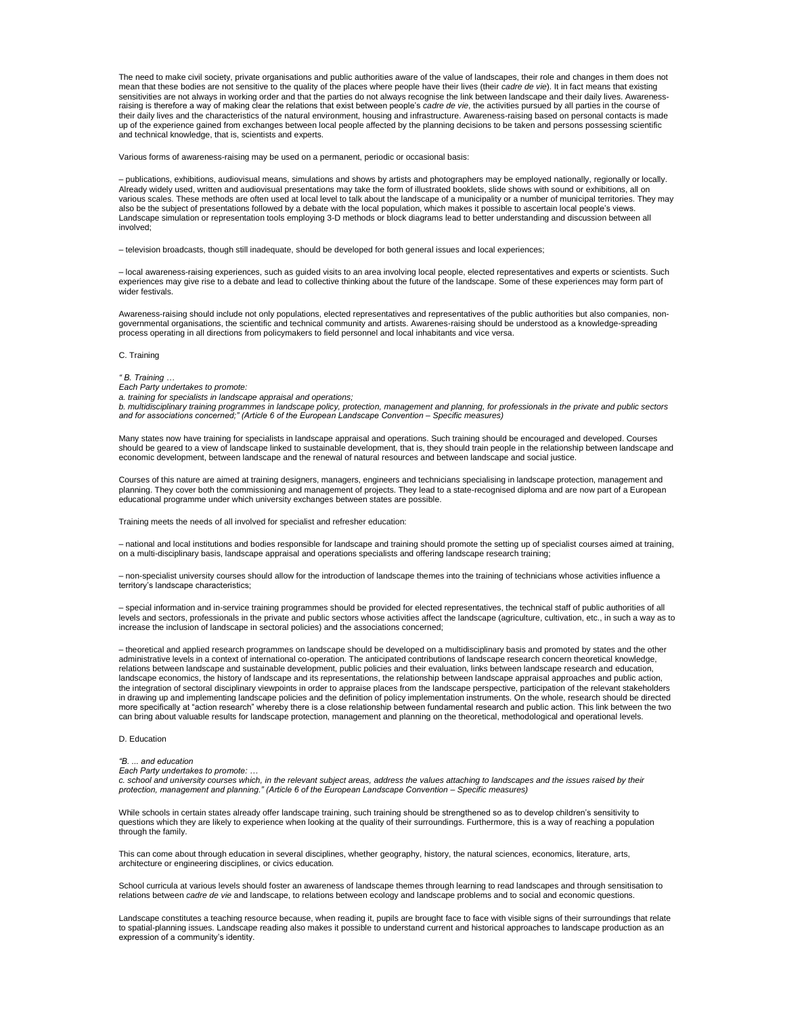The need to make civil society, private organisations and public authorities aware of the value of landscapes, their role and changes in them does not mean that these bodies are not sensitive to the quality of the places where people have their lives (their *cadre de vie*). It in fact means that existing sensitivities are not always in working order and that the parties do not always recognise the link between landscape and their daily lives. Awareness-<br>raising is therefore a way of making clear the relations that exist be their daily lives and the characteristics of the natural environment, housing and infrastructure. Awareness-raising based on personal contacts is made<br>up of the experience gained from exchanges between local people affecte and technical knowledge, that is, scientists and experts.

Various forms of awareness-raising may be used on a permanent, periodic or occasional basis:

– publications, exhibitions, audiovisual means, simulations and shows by artists and photographers may be employed nationally, regionally or locally. Already widely used, written and audiovisual presentations may take the form of illustrated booklets, slide shows with sound or exhibitions, all on various scales. These methods are often used at local level to talk about the landscape of a municipality or a number of municipal territories. They may also be the subject of presentations followed by a debate with the local population, which makes it possible to ascertain local people's views. Landscape simulation or representation tools employing 3-D methods or block diagrams lead to better understanding and discussion between all involved;

– television broadcasts, though still inadequate, should be developed for both general issues and local experiences;

– local awareness-raising experiences, such as guided visits to an area involving local people, elected representatives and experts or scientists. Such experiences may give rise to a debate and lead to collective thinking about the future of the landscape. Some of these experiences may form part of wider festivals.

Awareness-raising should include not only populations, elected representatives and representatives of the public authorities but also companies, nongovernmental organisations, the scientific and technical community and artists. Awarenes-raising should be understood as a knowledge-spreading process operating in all directions from policymakers to field personnel and local inhabitants and vice versa.

C. Training

# *" B. Training …*

*Each Party undertakes to promote:*

*a. training for specialists in landscape appraisal and operations;*

*b. multidisciplinary training programmes in landscape policy, protection, management and planning, for professionals in the private and public sectors and for associations concerned;" (Article 6 of the European Landscape Convention – Specific measures)*

Many states now have training for specialists in landscape appraisal and operations. Such training should be encouraged and developed. Courses<br>should be geared to a view of landscape linked to sustainable development, that

Courses of this nature are aimed at training designers, managers, engineers and technicians specialising in landscape protection, management and planning. They cover both the commissioning and management of projects. They lead to a state-recognised diploma and are now part of a European educational programme under which university exchanges between states are possible.

Training meets the needs of all involved for specialist and refresher education:

– national and local institutions and bodies responsible for landscape and training should promote the setting up of specialist courses aimed at training, on a multi-disciplinary basis, landscape appraisal and operations specialists and offering landscape research training;

– non-specialist university courses should allow for the introduction of landscape themes into the training of technicians whose activities influence a territory's landscape characteristics;

– special information and in-service training programmes should be provided for elected representatives, the technical staff of public authorities of all levels and sectors, professionals in the private and public sectors whose activities affect the landscape (agriculture, cultivation, etc., in such a way as to<br>increase the inclusion of landscape in sectoral policies) and t

– theoretical and applied research programmes on landscape should be developed on a multidisciplinary basis and promoted by states and the other administrative levels in a context of international co-operation. The anticipated contributions of landscape research concern theoretical knowledge, relations between landscape and sustainable development, public policies and their evaluation, links between landscape research and education, landscape economics, the history of landscape and its representations, the relationship between landscape appraisal approaches and public action, the integration of sectoral disciplinary viewpoints in order to appraise places from the landscape perspective, participation of the relevant stakeholders in drawing up and implementing landscape policies and the definition of policy implementation instruments. On the whole, research should be directed more specifically at "action research" whereby there is a close relationship between fundamental research and public action. This link between the two can bring about valuable results for landscape protection, management and planning on the theoretical, methodological and operational levels.

D. Education

# *"B. ... and education*

*Each Party undertakes to promote: …*

*c. school and university courses which, in the relevant subject areas, address the values attaching to landscapes and the issues raised by their protection, management and planning." (Article 6 of the European Landscape Convention – Specific measures)*

While schools in certain states already offer landscape training, such training should be strengthened so as to develop children's sensitivity to questions which they are likely to experience when looking at the quality of their surroundings. Furthermore, this is a way of reaching a population through the family.

This can come about through education in several disciplines, whether geography, history, the natural sciences, economics, literature, arts, architecture or engineering disciplines, or civics education.

School curricula at various levels should foster an awareness of landscape themes through learning to read landscapes and through sensitisation to relations between *cadre de vie* and landscape, to relations between ecology and landscape problems and to social and economic questions.

Landscape constitutes a teaching resource because, when reading it, pupils are brought face to face with visible signs of their surroundings that relate to spatial-planning issues. Landscape reading also makes it possible to understand current and historical approaches to landscape production as an expression of a community's identity.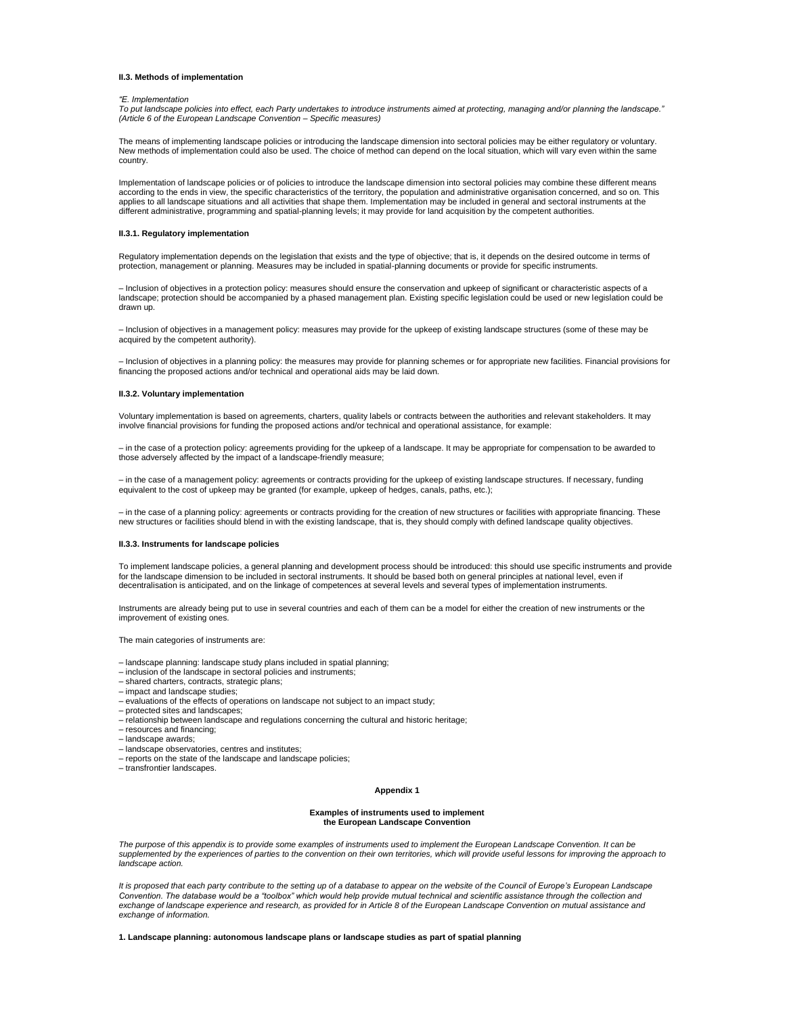### **II.3. Methods of implementation**

#### *"E. Implementation*

*To put landscape policies into effect, each Party undertakes to introduce instruments aimed at protecting, managing and/or planning the landscape." (Article 6 of the European Landscape Convention – Specific measures)*

The means of implementing landscape policies or introducing the landscape dimension into sectoral policies may be either regulatory or voluntary. New methods of implementation could also be used. The choice of method can depend on the local situation, which will vary even within the same country.

Implementation of landscape policies or of policies to introduce the landscape dimension into sectoral policies may combine these different means according to the ends in view, the specific characteristics of the territory, the population and administrative organisation concerned, and so on. This applies to all landscape situations and all activities that shape them. Implementation may be included in general and sectoral instruments at the different administrative, programming and spatial-planning levels; it may provide for land acquisition by the competent authorities.

### **II.3.1. Regulatory implementation**

Regulatory implementation depends on the legislation that exists and the type of objective; that is, it depends on the desired outcome in terms of protection, management or planning. Measures may be included in spatial-planning documents or provide for specific instruments.

*–* Inclusion of objectives in a protection policy: measures should ensure the conservation and upkeep of significant or characteristic aspects of a landscape; protection should be accompanied by a phased management plan. Existing specific legislation could be used or new legislation could be drawn up.

*–* Inclusion of objectives in a management policy: measures may provide for the upkeep of existing landscape structures (some of these may be acquired by the competent authority).

*–* Inclusion of objectives in a planning policy: the measures may provide for planning schemes or for appropriate new facilities. Financial provisions for financing the proposed actions and/or technical and operational aids may be laid down.

#### **II.3.2. Voluntary implementation**

Voluntary implementation is based on agreements, charters, quality labels or contracts between the authorities and relevant stakeholders. It may involve financial provisions for funding the proposed actions and/or technical and operational assistance, for example:

*–* in the case of a protection policy: agreements providing for the upkeep of a landscape. It may be appropriate for compensation to be awarded to those adversely affected by the impact of a landscape-friendly measure;

– in the case of a management policy: agreements or contracts providing for the upkeep of existing landscape structures. If necessary, funding equivalent to the cost of upkeep may be granted (for example, upkeep of hedges, canals, paths, etc.);

– in the case of a planning policy: agreements or contracts providing for the creation of new structures or facilities with appropriate financing. These<br>new structures or facilities should blend in with the existing landsc

### **II.3.3. Instruments for landscape policies**

To implement landscape policies, a general planning and development process should be introduced: this should use specific instruments and provide for the landscape dimension to be included in sectoral instruments. It should be based both on general principles at national level, even if<br>decentralisation is anticipated, and on the linkage of competences at several lev

Instruments are already being put to use in several countries and each of them can be a model for either the creation of new instruments or the improvement of existing ones.

The main categories of instruments are:

- landscape planning: landscape study plans included in spatial planning;
- inclusion of the landscape in sectoral policies and instruments;
- shared charters, contracts, strategic plans;
- impact and landscape studies;
- evaluations of the effects of operations on landscape not subject to an impact study;
- protected sites and landscapes;
- relationship between landscape and regulations concerning the cultural and historic heritage;
- resources and financing;
- landscape awards;
- landscape observatories, centres and institutes;
- reports on the state of the landscape and landscape policies;
- transfrontier landscapes.

#### **Appendix 1**

#### **Examples of instruments used to implement the European Landscape Convention**

*The purpose of this appendix is to provide some examples of instruments used to implement the European Landscape Convention. It can be*  supplemented by the experiences of parties to the convention on their own territories, which will provide useful lessons for improving the approach to *landscape action.*

*It is proposed that each party contribute to the setting up of a database to appear on the website of the Council of Europe's European Landscape Convention. The database would be a "toolbox" which would help provide mutual technical and scientific assistance through the collection and exchange of landscape experience and research, as provided for in Article 8 of the European Landscape Convention on mutual assistance and exchange of information.*

**1. Landscape planning: autonomous landscape plans or landscape studies as part of spatial planning**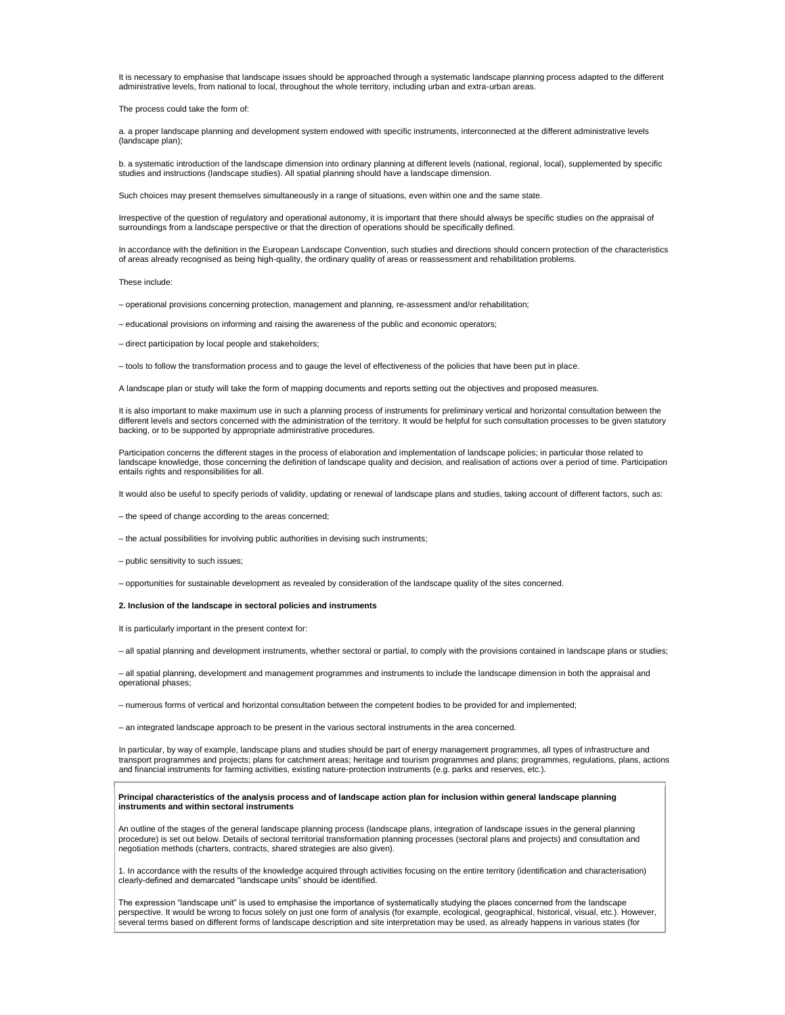It is necessary to emphasise that landscape issues should be approached through a systematic landscape planning process adapted to the different administrative levels, from national to local, throughout the whole territory, including urban and extra-urban areas.

The process could take the form of:

a. a proper landscape planning and development system endowed with specific instruments, interconnected at the different administrative levels (landscape plan);

b. a systematic introduction of the landscape dimension into ordinary planning at different levels (national, regional, local), supplemented by specific studies and instructions (landscape studies). All spatial planning should have a landscape dimension.

Such choices may present themselves simultaneously in a range of situations, even within one and the same state.

Irrespective of the question of regulatory and operational autonomy, it is important that there should always be specific studies on the appraisal of surroundings from a landscape perspective or that the direction of operations should be specifically defined.

In accordance with the definition in the European Landscape Convention, such studies and directions should concern protection of the characteristics of areas already recognised as being high-quality, the ordinary quality of areas or reassessment and rehabilitation problems.

These include:

- operational provisions concerning protection, management and planning, re-assessment and/or rehabilitation;
- educational provisions on informing and raising the awareness of the public and economic operators;
- direct participation by local people and stakeholders;
- tools to follow the transformation process and to gauge the level of effectiveness of the policies that have been put in place.

A landscape plan or study will take the form of mapping documents and reports setting out the objectives and proposed measures.

It is also important to make maximum use in such a planning process of instruments for preliminary vertical and horizontal consultation between the different levels and sectors concerned with the administration of the territory. It would be helpful for such consultation processes to be given statutory backing, or to be supported by appropriate administrative procedures.

Participation concerns the different stages in the process of elaboration and implementation of landscape policies; in particular those related to landscape knowledge, those concerning the definition of landscape quality and decision, and realisation of actions over a period of time. Participation entails rights and responsibilities for all.

It would also be useful to specify periods of validity, updating or renewal of landscape plans and studies, taking account of different factors, such as:

- the speed of change according to the areas concerned;
- the actual possibilities for involving public authorities in devising such instruments;
- public sensitivity to such issues;
- opportunities for sustainable development as revealed by consideration of the landscape quality of the sites concerned.

### **2. Inclusion of the landscape in sectoral policies and instruments**

It is particularly important in the present context for:

– all spatial planning and development instruments, whether sectoral or partial, to comply with the provisions contained in landscape plans or studies;

– all spatial planning, development and management programmes and instruments to include the landscape dimension in both the appraisal and operational phases;

– numerous forms of vertical and horizontal consultation between the competent bodies to be provided for and implemented;

– an integrated landscape approach to be present in the various sectoral instruments in the area concerned.

In particular, by way of example, landscape plans and studies should be part of energy management programmes, all types of infrastructure and transport programmes and projects; plans for catchment areas; heritage and tourism programmes and plans; programmes, regulations, plans, actions<br>and financial instruments for farming activities, existing nature-protection

### **Principal characteristics of the analysis process and of landscape action plan for inclusion within general landscape planning instruments and within sectoral instruments**

An outline of the stages of the general landscape planning process (landscape plans, integration of landscape issues in the general planning procedure) is set out below. Details of sectoral territorial transformation planning processes (sectoral plans and projects) and consultation and negotiation methods (charters, contracts, shared strategies are also given).

1. In accordance with the results of the knowledge acquired through activities focusing on the entire territory (identification and characterisation) clearly-defined and demarcated "landscape units" should be identified.

The expression "landscape unit" is used to emphasise the importance of systematically studying the places concerned from the landscape perspective. It would be wrong to focus solely on just one form of analysis (for example, ecological, geographical, historical, visual, etc.). However, several terms based on different forms of landscape description and site interpretation may be used, as already happens in various states (for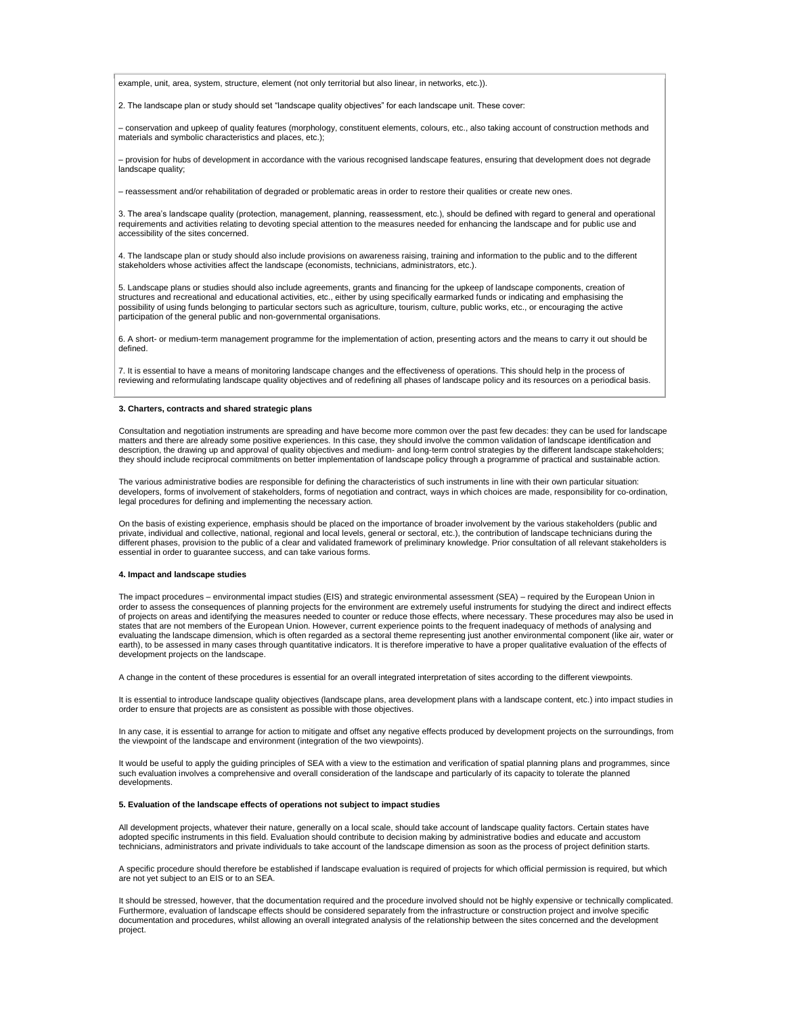example, unit, area, system, structure, element (not only territorial but also linear, in networks, etc.)).

2. The landscape plan or study should set "landscape quality objectives" for each landscape unit. These cover:

– conservation and upkeep of quality features (morphology, constituent elements, colours, etc., also taking account of construction methods and materials and symbolic characteristics and places, etc.);

– provision for hubs of development in accordance with the various recognised landscape features, ensuring that development does not degrade landscape quality;

– reassessment and/or rehabilitation of degraded or problematic areas in order to restore their qualities or create new ones.

3. The area's landscape quality (protection, management, planning, reassessment, etc.), should be defined with regard to general and operational requirements and activities relating to devoting special attention to the measures needed for enhancing the landscape and for public use and accessibility of the sites concerned.

4. The landscape plan or study should also include provisions on awareness raising, training and information to the public and to the different stakeholders whose activities affect the landscape (economists, technicians, administrators, etc.).

5. Landscape plans or studies should also include agreements, grants and financing for the upkeep of landscape components, creation of structures and recreational and educational activities, etc., either by using specifically earmarked funds or indicating and emphasising the possibility of using funds belonging to particular sectors such as agriculture, tourism, culture, public works, etc., or encouraging the active participation of the general public and non-governmental organisations.

6. A short- or medium-term management programme for the implementation of action, presenting actors and the means to carry it out should be defined.

7. It is essential to have a means of monitoring landscape changes and the effectiveness of operations. This should help in the process of reviewing and reformulating landscape quality objectives and of redefining all phases of landscape policy and its resources on a periodical basis.

### **3. Charters, contracts and shared strategic plans**

Consultation and negotiation instruments are spreading and have become more common over the past few decades: they can be used for landscape matters and there are already some positive experiences. In this case, they should involve the common validation of landscape identification and<br>description, the drawing up and approval of quality objectives and medium- an they should include reciprocal commitments on better implementation of landscape policy through a programme of practical and sustainable action.

The various administrative bodies are responsible for defining the characteristics of such instruments in line with their own particular situation: developers, forms of involvement of stakeholders, forms of negotiation and contract, ways in which choices are made, responsibility for co-ordination, legal procedures for defining and implementing the necessary action.

On the basis of existing experience, emphasis should be placed on the importance of broader involvement by the various stakeholders (public and private, individual and collective, national, regional and local levels, general or sectoral, etc.), the contribution of landscape technicians during the different phases, provision to the public of a clear and validated framework of preliminary knowledge. Prior consultation of all relevant stakeholders is essential in order to guarantee success, and can take various forms.

### **4. Impact and landscape studies**

The impact procedures – environmental impact studies (EIS) and strategic environmental assessment (SEA) – required by the European Union in order to assess the consequences of planning projects for the environment are extremely useful instruments for studying the direct and indirect effects of projects on areas and identifying the measures needed to counter or reduce those effects, where necessary. These procedures may also be used in states that are not members of the European Union. However, current experience points to the frequent inadequacy of methods of analysing and evaluating the landscape dimension, which is often regarded as a sectoral theme representing just another environmental component (like air, water or earth), to be assessed in many cases through quantitative indicators. It is therefore imperative to have a proper qualitative evaluation of the effects of development projects on the landscape.

A change in the content of these procedures is essential for an overall integrated interpretation of sites according to the different viewpoints.

It is essential to introduce landscape quality objectives (landscape plans, area development plans with a landscape content, etc.) into impact studies in order to ensure that projects are as consistent as possible with those objectives.

In any case, it is essential to arrange for action to mitigate and offset any negative effects produced by development projects on the surroundings, from the viewpoint of the landscape and environment (integration of the two viewpoints).

It would be useful to apply the guiding principles of SEA with a view to the estimation and verification of spatial planning plans and programmes, since such evaluation involves a comprehensive and overall consideration of the landscape and particularly of its capacity to tolerate the planned developments.

### **5. Evaluation of the landscape effects of operations not subject to impact studies**

All development projects, whatever their nature, generally on a local scale, should take account of landscape quality factors. Certain states have adopted specific instruments in this field. Evaluation should contribute to decision making by administrative bodies and educate and accustom technicians, administrators and private individuals to take account of the landscape dimension as soon as the process of project definition starts.

A specific procedure should therefore be established if landscape evaluation is required of projects for which official permission is required, but which are not yet subject to an EIS or to an SEA.

It should be stressed, however, that the documentation required and the procedure involved should not be highly expensive or technically complicated. Furthermore, evaluation of landscape effects should be considered separately from the infrastructure or construction project and involve specific documentation and procedures, whilst allowing an overall integrated analysis of the relationship between the sites concerned and the development project.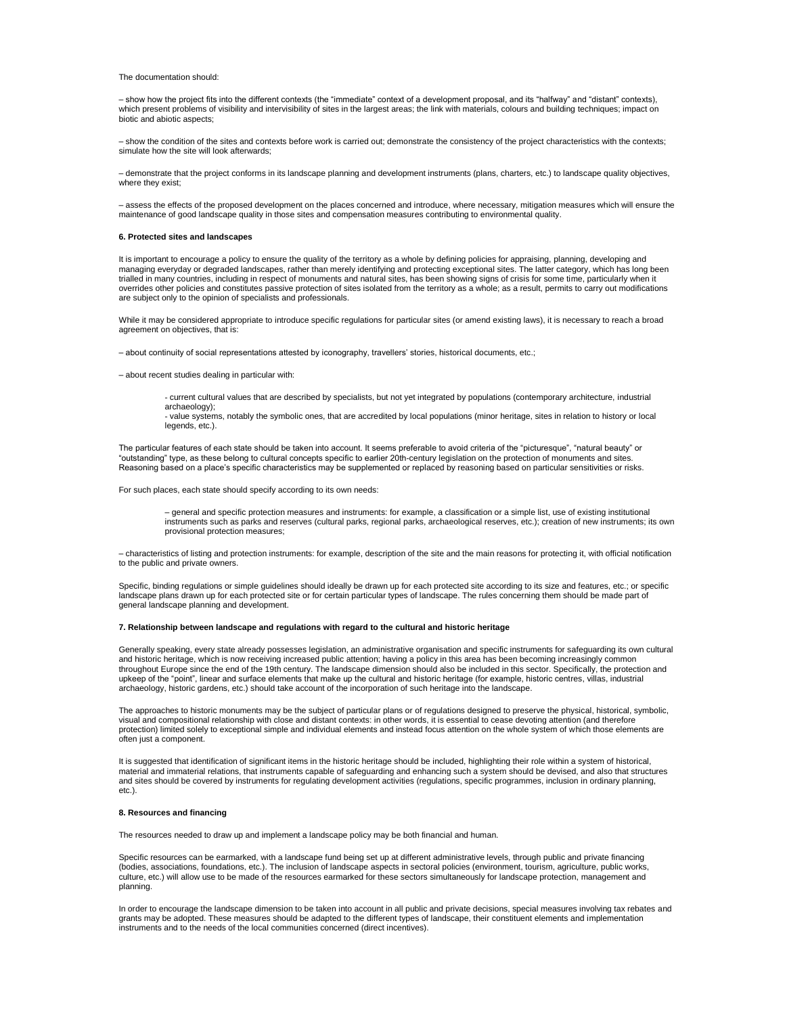The documentation should:

– show how the project fits into the different contexts (the "immediate" context of a development proposal, and its "halfway" and "distant" contexts), which present problems of visibility and intervisibility of sites in the largest areas; the link with materials, colours and building techniques; impact on biotic and abiotic aspects;

– show the condition of the sites and contexts before work is carried out; demonstrate the consistency of the project characteristics with the contexts; simulate how the site will look afterwards;

– demonstrate that the project conforms in its landscape planning and development instruments (plans, charters, etc.) to landscape quality objectives, where they exist;

– assess the effects of the proposed development on the places concerned and introduce, where necessary, mitigation measures which will ensure the maintenance of good landscape quality in those sites and compensation measures contributing to environmental quality.

### **6. Protected sites and landscapes**

It is important to encourage a policy to ensure the quality of the territory as a whole by defining policies for appraising, planning, developing and managing everyday or degraded landscapes, rather than merely identifying and protecting exceptional sites. The latter category, which has long been trialled in many countries, including in respect of monuments and natural sites, has been showing signs of crisis for some time, particularly when it overrides other policies and constitutes passive protection of sites isolated from the territory as a whole; as a result, permits to carry out modifications are subject only to the opinion of specialists and professionals.

While it may be considered appropriate to introduce specific regulations for particular sites (or amend existing laws), it is necessary to reach a broad agreement on objectives, that is:

– about continuity of social representations attested by iconography, travellers' stories, historical documents, etc.;

- about recent studies dealing in particular with:
	- current cultural values that are described by specialists, but not yet integrated by populations (contemporary architecture, industrial archaeology);
	- value systems, notably the symbolic ones, that are accredited by local populations (minor heritage, sites in relation to history or local legends, etc.).

The particular features of each state should be taken into account. It seems preferable to avoid criteria of the "picturesque", "natural beauty" or "outstanding" type, as these belong to cultural concepts specific to earlier 20th-century legislation on the protection of monuments and sites.<br>Reasoning based on a place's specific characteristics may be supplemented or r

For such places, each state should specify according to its own needs:

– general and specific protection measures and instruments: for example, a classification or a simple list, use of existing institutional instruments such as parks and reserves (cultural parks, regional parks, archaeological reserves, etc.); creation of new instruments; its own provisional protection measures;

– characteristics of listing and protection instruments: for example, description of the site and the main reasons for protecting it, with official notification to the public and private owners.

Specific, binding regulations or simple guidelines should ideally be drawn up for each protected site according to its size and features, etc.; or specific landscape plans drawn up for each protected site or for certain particular types of landscape. The rules concerning them should be made part of general landscape planning and development.

### **7. Relationship between landscape and regulations with regard to the cultural and historic heritage**

Generally speaking, every state already possesses legislation, an administrative organisation and specific instruments for safeguarding its own cultural and historic heritage, which is now receiving increased public attention; having a policy in this area has been becoming increasingly common throughout Europe since the end of the 19th century. The landscape dimension should also be included in this sector. Specifically, the protection and upkeep of the "point", linear and surface elements that make up the cultural and historic heritage (for example, historic centres, villas, industrial archaeology, historic gardens, etc.) should take account of the incorporation of such heritage into the landscape.

The approaches to historic monuments may be the subject of particular plans or of regulations designed to preserve the physical, historical, symbolic, visual and compositional relationship with close and distant contexts: in other words, it is essential to cease devoting attention (and therefore protection) limited solely to exceptional simple and individual elements and instead focus attention on the whole system of which those elements are often just a component.

It is suggested that identification of significant items in the historic heritage should be included, highlighting their role within a system of historical, material and immaterial relations, that instruments capable of safeguarding and enhancing such a system should be devised, and also that structures and sites should be covered by instruments for regulating development activities (regulations, specific programmes, inclusion in ordinary planning, etc.).

### **8. Resources and financing**

The resources needed to draw up and implement a landscape policy may be both financial and human.

Specific resources can be earmarked, with a landscape fund being set up at different administrative levels, through public and private financing (bodies, associations, foundations, etc.). The inclusion of landscape aspects in sectoral policies (environment, tourism, agriculture, public works, culture, etc.) will allow use to be made of the resources earmarked for these sectors simultaneously for landscape protection, management and planning.

In order to encourage the landscape dimension to be taken into account in all public and private decisions, special measures involving tax rebates and grants may be adopted. These measures should be adapted to the different types of landscape, their constituent elements and implementation<br>instruments and to the needs of the local communities concerned (direct incentives)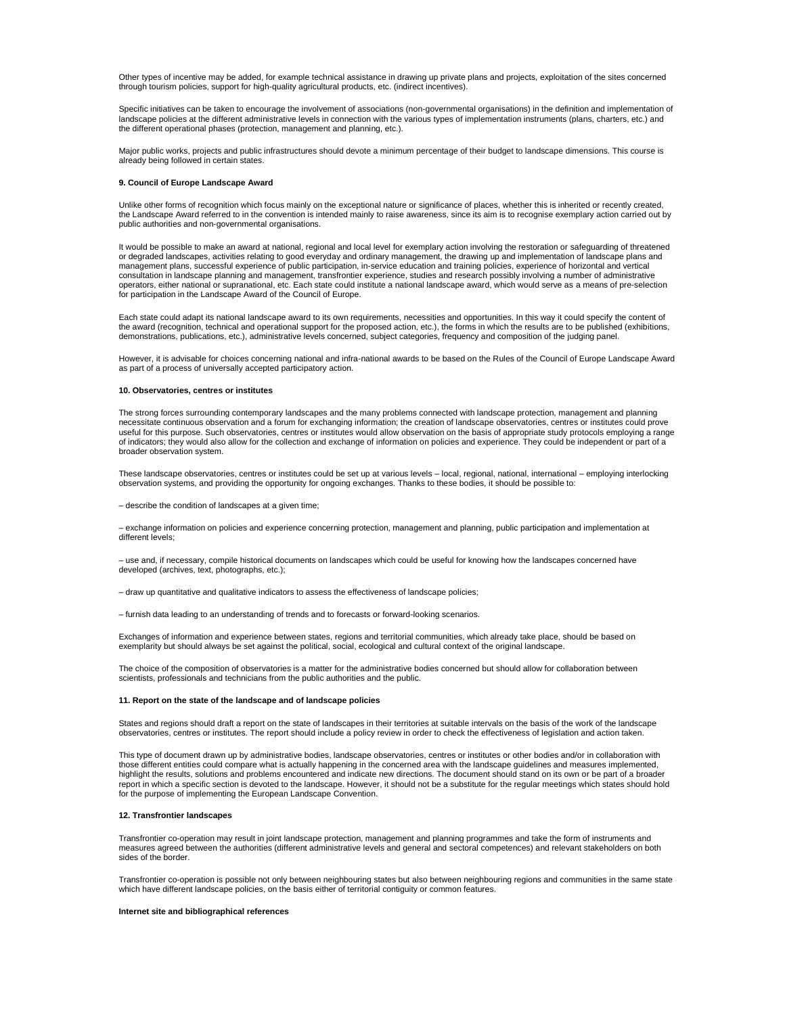Other types of incentive may be added, for example technical assistance in drawing up private plans and projects, exploitation of the sites concerned through tourism policies, support for high-quality agricultural products, etc. (indirect incentives).

Specific initiatives can be taken to encourage the involvement of associations (non-governmental organisations) in the definition and implementation of landscape policies at the different administrative levels in connection with the various types of implementation instruments (plans, charters, etc.) and the different operational phases (protection, management and planning, etc.).

Major public works, projects and public infrastructures should devote a minimum percentage of their budget to landscape dimensions. This course is already being followed in certain states.

### **9. Council of Europe Landscape Award**

Unlike other forms of recognition which focus mainly on the exceptional nature or significance of places, whether this is inherited or recently created, the Landscape Award referred to in the convention is intended mainly to raise awareness, since its aim is to recognise exemplary action carried out by public authorities and non-governmental organisations.

It would be possible to make an award at national, regional and local level for exemplary action involving the restoration or safeguarding of threatened or degraded landscapes, activities relating to good everyday and ordinary management, the drawing up and implementation of landscape plans and management plans, successful experience of public participation, in-service education and training policies, experience of horizontal and vertical consultation in landscape planning and management, transfrontier experience, studies and research possibly involving a number of administrative<br>operators, either national or supranational, etc. Each state could institute a for participation in the Landscape Award of the Council of Europe.

Each state could adapt its national landscape award to its own requirements, necessities and opportunities. In this way it could specify the content of the award (recognition, technical and operational support for the proposed action, etc.), the forms in which the results are to be published (exhibitions, demonstrations, publications, etc.), administrative levels concerned, subject categories, frequency and composition of the judging panel.

However, it is advisable for choices concerning national and infra-national awards to be based on the Rules of the Council of Europe Landscape Award as part of a process of universally accepted participatory action.

### **10. Observatories, centres or institutes**

The strong forces surrounding contemporary landscapes and the many problems connected with landscape protection, management and planning necessitate continuous observation and a forum for exchanging information; the creation of landscape observatories, centres or institutes could prove useful for this purpose. Such observatories, centres or institutes would allow observation on the basis of appropriate study protocols employing a range of indicators; they would also allow for the collection and exchange of information on policies and experience. They could be independent or part of a broader observation system.

These landscape observatories, centres or institutes could be set up at various levels – local, regional, national, international – employing interlocking observation systems, and providing the opportunity for ongoing exchanges. Thanks to these bodies, it should be possible to:

– describe the condition of landscapes at a given time;

– exchange information on policies and experience concerning protection, management and planning, public participation and implementation at different levels;

– use and, if necessary, compile historical documents on landscapes which could be useful for knowing how the landscapes concerned have developed (archives, text, photographs, etc.);

– draw up quantitative and qualitative indicators to assess the effectiveness of landscape policies;

– furnish data leading to an understanding of trends and to forecasts or forward-looking scenarios.

Exchanges of information and experience between states, regions and territorial communities, which already take place, should be based on exemplarity but should always be set against the political, social, ecological and cultural context of the original landscape.

The choice of the composition of observatories is a matter for the administrative bodies concerned but should allow for collaboration between scientists, professionals and technicians from the public authorities and the public.

### **11. Report on the state of the landscape and of landscape policies**

States and regions should draft a report on the state of landscapes in their territories at suitable intervals on the basis of the work of the landscape observatories, centres or institutes. The report should include a policy review in order to check the effectiveness of legislation and action taken.

This type of document drawn up by administrative bodies, landscape observatories, centres or institutes or other bodies and/or in collaboration with those different entities could compare what is actually happening in the concerned area with the landscape guidelines and measures implemented, highlight the results, solutions and problems encountered and indicate new directions. The document should stand on its own or be part of a broader report in which a specific section is devoted to the landscape. However, it should not be a substitute for the regular meetings which states should hold for the purpose of implementing the European Landscape Convention.

## **12. Transfrontier landscapes**

Transfrontier co-operation may result in joint landscape protection, management and planning programmes and take the form of instruments and measures agreed between the authorities (different administrative levels and general and sectoral competences) and relevant stakeholders on both sides of the border.

Transfrontier co-operation is possible not only between neighbouring states but also between neighbouring regions and communities in the same state which have different landscape policies, on the basis either of territorial contiguity or common features.

#### **Internet site and bibliographical references**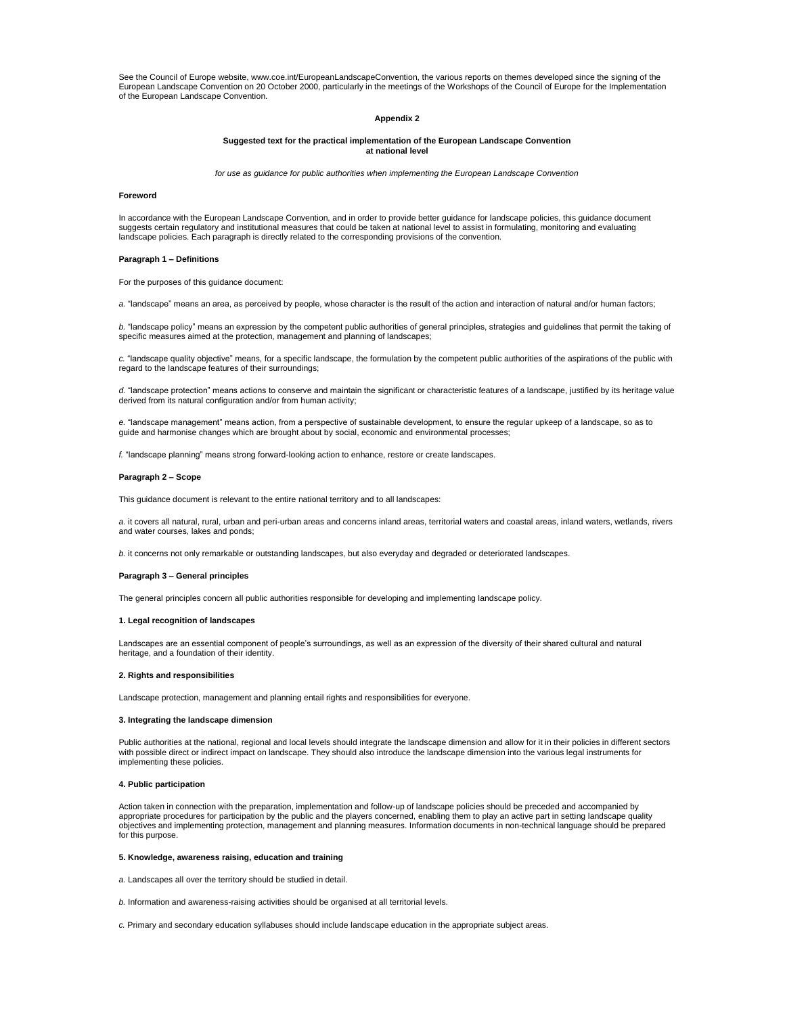See the Council of Europe website, www.coe.int/EuropeanLandscapeConvention, the various reports on themes developed since the signing of the European Landscape Convention on 20 October 2000, particularly in the meetings of the Workshops of the Council of Europe for the Implementation of the European Landscape Convention.

# **Appendix 2**

### **Suggested text for the practical implementation of the European Landscape Convention at national level**

*for use as guidance for public authorities when implementing the European Landscape Convention*

### **Foreword**

In accordance with the European Landscape Convention, and in order to provide better guidance for landscape policies, this guidance document suggests certain regulatory and institutional measures that could be taken at national level to assist in formulating, monitoring and evaluating landscape policies. Each paragraph is directly related to the corresponding provisions of the convention.

### **Paragraph 1 – Definitions**

For the purposes of this guidance document:

*a.* "landscape" means an area, as perceived by people, whose character is the result of the action and interaction of natural and/or human factors;

*b.* "landscape policy" means an expression by the competent public authorities of general principles, strategies and guidelines that permit the taking of specific measures aimed at the protection, management and planning of landscapes;

*c.* "landscape quality objective" means, for a specific landscape, the formulation by the competent public authorities of the aspirations of the public with regard to the landscape features of their surroundings;

*d.* "landscape protection" means actions to conserve and maintain the significant or characteristic features of a landscape, justified by its heritage value derived from its natural configuration and/or from human activity;

*e.* "landscape management" means action, from a perspective of sustainable development, to ensure the regular upkeep of a landscape, so as to guide and harmonise changes which are brought about by social, economic and environmental processes;

*f.* "landscape planning" means strong forward-looking action to enhance, restore or create landscapes.

### **Paragraph 2 – Scope**

This guidance document is relevant to the entire national territory and to all landscapes:

*a.* it covers all natural, rural, urban and peri-urban areas and concerns inland areas, territorial waters and coastal areas, inland waters, wetlands, rivers and water courses, lakes and ponds;

*b.* it concerns not only remarkable or outstanding landscapes, but also everyday and degraded or deteriorated landscapes.

### **Paragraph 3 – General principles**

The general principles concern all public authorities responsible for developing and implementing landscape policy.

#### **1. Legal recognition of landscapes**

Landscapes are an essential component of people's surroundings, as well as an expression of the diversity of their shared cultural and natural heritage, and a foundation of their identity.

### **2. Rights and responsibilities**

Landscape protection, management and planning entail rights and responsibilities for everyone.

### **3. Integrating the landscape dimension**

Public authorities at the national, regional and local levels should integrate the landscape dimension and allow for it in their policies in different sectors with possible direct or indirect impact on landscape. They should also introduce the landscape dimension into the various legal instruments for implementing these policies.

### **4. Public participation**

Action taken in connection with the preparation, implementation and follow-up of landscape policies should be preceded and accompanied by appropriate procedures for participation by the public and the players concerned, enabling them to play an active part in setting landscape quality objectives and implementing protection, management and planning measures. Information documents in non-technical language should be prepared for this purpose.

### **5. Knowledge, awareness raising, education and training**

*a.* Landscapes all over the territory should be studied in detail.

- *b.* Information and awareness-raising activities should be organised at all territorial levels.
- *c.* Primary and secondary education syllabuses should include landscape education in the appropriate subject areas.